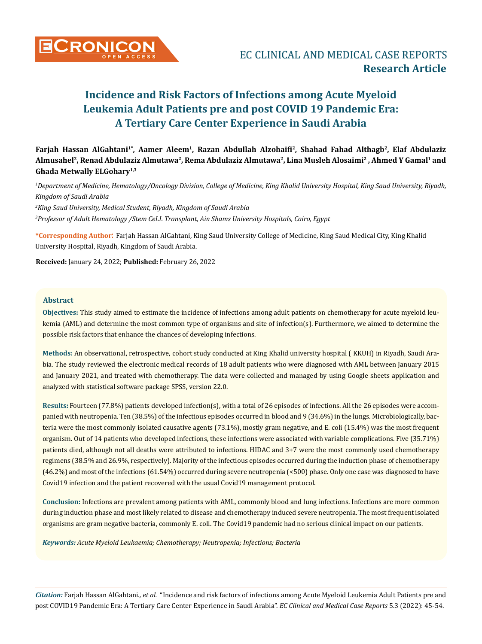

**Farjah Hassan AlGahtani1\*, Aamer Aleem1, Razan Abdullah Alzohaifi2, Shahad Fahad Althagb2, Elaf Abdulaziz Almusahel2, Renad Abdulaziz Almutawa2, Rema Abdulaziz Almutawa2, Lina Musleh Alosaimi2 , Ahmed Y Gamal1 and Ghada Metwally ELGohary1,3**

*1 Department of Medicine, Hematology/Oncology Division, College of Medicine, King Khalid University Hospital, King Saud University, Riyadh, Kingdom of Saudi Arabia* 

*2 King Saud University, Medical Student, Riyadh, Kingdom of Saudi Arabia 3 Professor of Adult Hematology /Stem CeLL Transplant, Ain Shams University Hospitals, Cairo, Egypt* 

**\*Corresponding Author**: Farjah Hassan AlGahtani, King Saud University College of Medicine, King Saud Medical City, King Khalid University Hospital, Riyadh, Kingdom of Saudi Arabia.

**Received:** January 24, 2022; **Published:** February 26, 2022

## **Abstract**

**Objectives:** This study aimed to estimate the incidence of infections among adult patients on chemotherapy for acute myeloid leukemia (AML) and determine the most common type of organisms and site of infection(s). Furthermore, we aimed to determine the possible risk factors that enhance the chances of developing infections.

**Methods:** An observational, retrospective, cohort study conducted at King Khalid university hospital ( KKUH) in Riyadh, Saudi Arabia. The study reviewed the electronic medical records of 18 adult patients who were diagnosed with AML between January 2015 and January 2021, and treated with chemotherapy. The data were collected and managed by using Google sheets application and analyzed with statistical software package SPSS, version 22.0.

**Results:** Fourteen (77.8%) patients developed infection(s), with a total of 26 episodes of infections. All the 26 episodes were accompanied with neutropenia. Ten (38.5%) of the infectious episodes occurred in blood and 9 (34.6%) in the lungs. Microbiologically, bacteria were the most commonly isolated causative agents (73.1%), mostly gram negative, and E. coli (15.4%) was the most frequent organism. Out of 14 patients who developed infections, these infections were associated with variable complications. Five (35.71%) patients died, although not all deaths were attributed to infections. HIDAC and 3+7 were the most commonly used chemotherapy regimens (38.5% and 26.9%, respectively). Majority of the infectious episodes occurred during the induction phase of chemotherapy (46.2%) and most of the infections (61.54%) occurred during severe neutropenia (<500) phase. Only one case was diagnosed to have Covid19 infection and the patient recovered with the usual Covid19 management protocol.

**Conclusion:** Infections are prevalent among patients with AML, commonly blood and lung infections. Infections are more common during induction phase and most likely related to disease and chemotherapy induced severe neutropenia. The most frequent isolated organisms are gram negative bacteria, commonly E. coli. The Covid19 pandemic had no serious clinical impact on our patients.

*Keywords: Acute Myeloid Leukaemia; Chemotherapy; Neutropenia; Infections; Bacteria*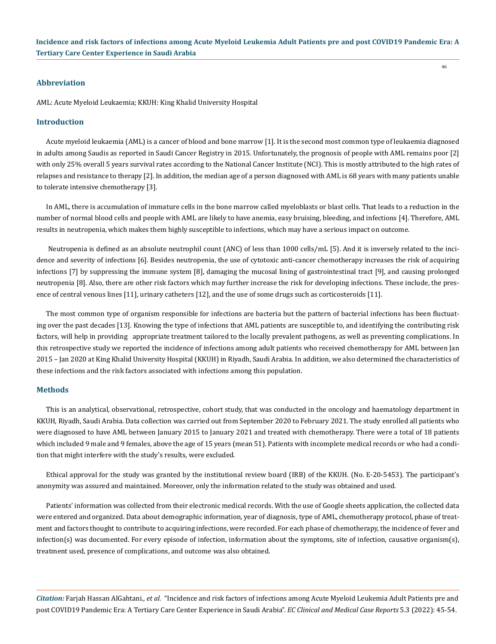46

#### **Abbreviation**

AML: Acute Myeloid Leukaemia; KKUH: King Khalid University Hospital

#### **Introduction**

Acute myeloid leukaemia (AML) is a cancer of blood and bone marrow [1]. It is the second most common type of leukaemia diagnosed in adults among Saudis as reported in Saudi Cancer Registry in 2015. Unfortunately, the prognosis of people with AML remains poor [2] with only 25% overall 5 years survival rates according to the National Cancer Institute (NCI). This is mostly attributed to the high rates of relapses and resistance to therapy [2]. In addition, the median age of a person diagnosed with AML is 68 years with many patients unable to tolerate intensive chemotherapy [3].

In AML, there is accumulation of immature cells in the bone marrow called myeloblasts or blast cells. That leads to a reduction in the number of normal blood cells and people with AML are likely to have anemia, easy bruising, bleeding, and infections [4]. Therefore, AML results in neutropenia, which makes them highly susceptible to infections, which may have a serious impact on outcome.

 Neutropenia is defined as an absolute neutrophil count (ANC) of less than 1000 cells/mL [5). And it is inversely related to the incidence and severity of infections [6]. Besides neutropenia, the use of cytotoxic anti-cancer chemotherapy increases the risk of acquiring infections [7] by suppressing the immune system [8], damaging the mucosal lining of gastrointestinal tract [9], and causing prolonged neutropenia [8]. Also, there are other risk factors which may further increase the risk for developing infections. These include, the presence of central venous lines [11], urinary catheters [12], and the use of some drugs such as corticosteroids [11].

The most common type of organism responsible for infections are bacteria but the pattern of bacterial infections has been fluctuating over the past decades [13]. Knowing the type of infections that AML patients are susceptible to, and identifying the contributing risk factors, will help in providing appropriate treatment tailored to the locally prevalent pathogens, as well as preventing complications. In this retrospective study we reported the incidence of infections among adult patients who received chemotherapy for AML between Jan 2015 – Jan 2020 at King Khalid University Hospital (KKUH) in Riyadh, Saudi Arabia. In addition, we also determined the characteristics of these infections and the risk factors associated with infections among this population.

#### **Methods**

This is an analytical, observational, retrospective, cohort study, that was conducted in the oncology and haematology department in KKUH, Riyadh, Saudi Arabia. Data collection was carried out from September 2020 to February 2021. The study enrolled all patients who were diagnosed to have AML between January 2015 to January 2021 and treated with chemotherapy. There were a total of 18 patients which included 9 male and 9 females, above the age of 15 years (mean 51). Patients with incomplete medical records or who had a condition that might interfere with the study's results, were excluded.

Ethical approval for the study was granted by the institutional review board (IRB) of the KKUH. (No. E-20-5453). The participant's anonymity was assured and maintained. Moreover, only the information related to the study was obtained and used.

Patients' information was collected from their electronic medical records. With the use of Google sheets application, the collected data were entered and organized. Data about demographic information, year of diagnosis, type of AML, chemotherapy protocol, phase of treatment and factors thought to contribute to acquiring infections, were recorded. For each phase of chemotherapy, the incidence of fever and infection(s) was documented. For every episode of infection, information about the symptoms, site of infection, causative organism(s), treatment used, presence of complications, and outcome was also obtained.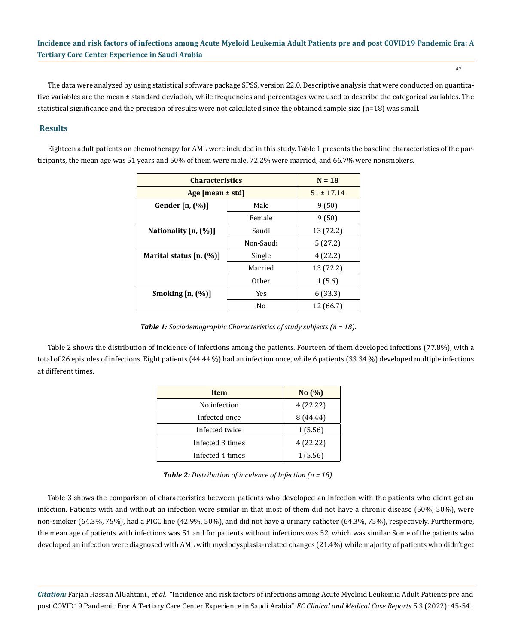47

The data were analyzed by using statistical software package SPSS, version 22.0. Descriptive analysis that were conducted on quantitative variables are the mean ± standard deviation, while frequencies and percentages were used to describe the categorical variables. The statistical significance and the precision of results were not calculated since the obtained sample size (n=18) was small.

## **Results**

Eighteen adult patients on chemotherapy for AML were included in this study. Table 1 presents the baseline characteristics of the participants, the mean age was 51 years and 50% of them were male, 72.2% were married, and 66.7% were nonsmokers.

| <b>Characteristics</b>     |                | $N = 18$       |
|----------------------------|----------------|----------------|
| Age [mean $\pm$ std]       |                | $51 \pm 17.14$ |
| Gender $[n, (\%)]$         | Male           | 9(50)          |
|                            | Female         | 9(50)          |
| Nationality [n, (%)]       | Saudi          | 13 (72.2)      |
|                            | Non-Saudi      | 5(27.2)        |
| Marital status $[n, (\%)]$ | Single         | 4(22.2)        |
|                            | Married        | 13 (72.2)      |
|                            | 0ther          | 1(5.6)         |
| Smoking $[n, (%)]$         | <b>Yes</b>     | 6(33.3)        |
|                            | N <sub>0</sub> | 12 (66.7)      |

*Table 1: Sociodemographic Characteristics of study subjects (n = 18).*

Table 2 shows the distribution of incidence of infections among the patients. Fourteen of them developed infections (77.8%), with a total of 26 episodes of infections. Eight patients (44.44 %) had an infection once, while 6 patients (33.34 %) developed multiple infections at different times.

| <b>Item</b>      | No(%)     |
|------------------|-----------|
| No infection     | 4 (22.22) |
| Infected once    | 8 (44.44) |
| Infected twice   | 1(5.56)   |
| Infected 3 times | 4 (22.22) |
| Infected 4 times | 1(5.56)   |

*Table 2: Distribution of incidence of Infection (n = 18).*

Table 3 shows the comparison of characteristics between patients who developed an infection with the patients who didn't get an infection. Patients with and without an infection were similar in that most of them did not have a chronic disease (50%, 50%), were non-smoker (64.3%, 75%), had a PICC line (42.9%, 50%), and did not have a urinary catheter (64.3%, 75%), respectively. Furthermore, the mean age of patients with infections was 51 and for patients without infections was 52, which was similar. Some of the patients who developed an infection were diagnosed with AML with myelodysplasia-related changes (21.4%) while majority of patients who didn't get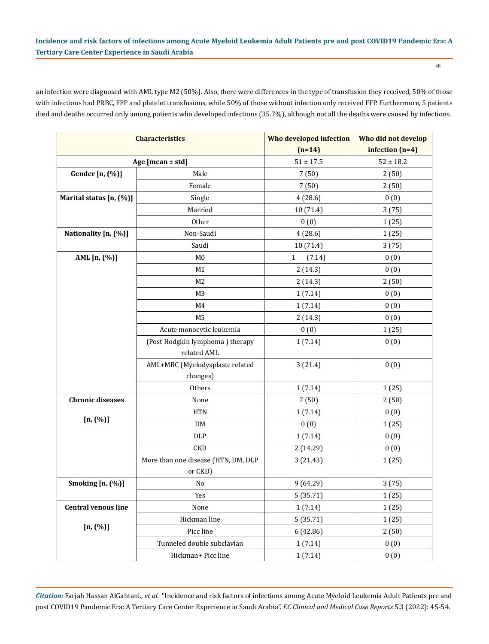an infection were diagnosed with AML type M2 (50%). Also, there were differences in the type of transfusion they received, 50% of those with infections had PRBC, FFP and platelet transfusions, while 50% of those without infection only received FFP. Furthermore, 5 patients died and deaths occurred only among patients who developed infections (35.7%), although not all the deaths were caused by infections.

|                            | <b>Characteristics</b>              | Who developed infection | Who did not develop                                                                 |
|----------------------------|-------------------------------------|-------------------------|-------------------------------------------------------------------------------------|
|                            |                                     | $(n=14)$                | infection $(n=4)$                                                                   |
|                            | Age [mean $\pm$ std]                | $51 \pm 17.5$           | $52 \pm 18.2$                                                                       |
| Gender [n, (%)]            | Male                                | 7(50)                   | 2(50)                                                                               |
|                            | Female                              | 7(50)                   | 2(50)                                                                               |
| Marital status [n, (%)]    | Single                              | 4(28.6)                 | 0(0)                                                                                |
|                            | Married                             | 10 (71.4)               | 3(75)                                                                               |
|                            | Other                               | 0(0)                    | 1(25)                                                                               |
| Nationality [n, (%)]       | Non-Saudi                           | 4(28.6)                 | 1(25)                                                                               |
|                            | Saudi                               | 10 (71.4)               | 3(75)                                                                               |
| AML [n, (%)]               | M <sub>0</sub>                      | $\mathbf{1}$<br>(7.14)  | 0(0)                                                                                |
|                            | M1                                  | 2(14.3)                 | 0(0)                                                                                |
|                            | M <sub>2</sub>                      | 2(14.3)                 | 2(50)                                                                               |
|                            | M <sub>3</sub>                      | 1(7.14)                 | 0(0)                                                                                |
|                            | M4                                  | 1(7.14)                 | 0(0)                                                                                |
|                            | M <sub>5</sub>                      | 2(14.3)                 | 0(0)                                                                                |
|                            | Acute monocytic leukemia            |                         |                                                                                     |
|                            | (Post Hodgkin lymphoma) therapy     |                         |                                                                                     |
|                            | related AML                         |                         |                                                                                     |
|                            | AML+MRC (Myelodysplastc related     | 3(21.4)                 | 0(0)                                                                                |
|                            | changes)                            |                         | 0(0)<br>1(25)<br>0(0)<br>1(7.14)<br>1(7.14)<br>1(25)                                |
|                            | Others                              |                         |                                                                                     |
| <b>Chronic diseases</b>    | None                                | 7(50)                   | 2(50)                                                                               |
|                            | <b>HTN</b>                          | 1(7.14)                 | 0(0)                                                                                |
| [n, (%)]                   | DM                                  | 0(0)                    |                                                                                     |
|                            | DLP                                 | 1(7.14)                 |                                                                                     |
|                            | <b>CKD</b>                          | 2 (14.29)               | 1(25)<br>0(0)<br>0(0)<br>1(25)<br>3(75)<br>1(25)<br>1(25)<br>1(25)<br>2(50)<br>0(0) |
|                            | More than one disease (HTN, DM, DLP | 3(21.43)                |                                                                                     |
|                            | or CKD)                             |                         |                                                                                     |
| Smoking [n, (%)]           | $\rm No$                            | 9 (64.29)               |                                                                                     |
|                            | Yes                                 | 5(35.71)                |                                                                                     |
| <b>Central venous line</b> | None                                | 1(7.14)                 |                                                                                     |
|                            | Hickman line                        | 5(35.71)                |                                                                                     |
| [n, (%)]                   | Picc line                           | 6(42.86)                |                                                                                     |
|                            | Tunneled double subclavian          | 1(7.14)                 |                                                                                     |
|                            | Hickman+ Picc line                  | 1(7.14)                 | 0(0)                                                                                |

*Citation:* Farjah Hassan AlGahtani*., et al.* "Incidence and risk factors of infections among Acute Myeloid Leukemia Adult Patients pre and post COVID19 Pandemic Era: A Tertiary Care Center Experience in Saudi Arabia". *EC Clinical and Medical Case Reports* 5.3 (2022): 45-54.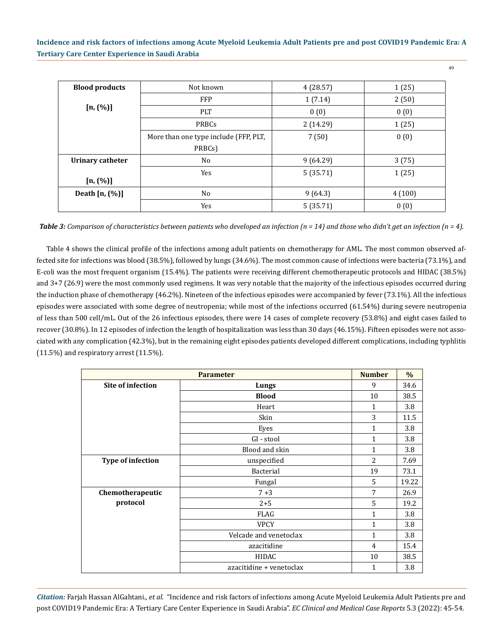| <b>Blood products</b> | Not known                             | 4(28.57) | 1(25)  |
|-----------------------|---------------------------------------|----------|--------|
|                       | <b>FFP</b>                            | 1(7.14)  | 2(50)  |
| [n, (%)]              | <b>PLT</b>                            | 0(0)     | 0(0)   |
|                       | PRBCs                                 | 2(14.29) | 1(25)  |
|                       | More than one type include (FFP, PLT, | 7(50)    | 0(0)   |
|                       | PRBCs)                                |          |        |
| Urinary catheter      | No                                    | 9(64.29) | 3(75)  |
| $[n, (\%)]$           | Yes                                   | 5(35.71) | 1(25)  |
| Death $[n, (\%)]$     | No                                    | 9(64.3)  | 4(100) |
|                       | Yes                                   | 5(35.71) | 0(0)   |

*Table 3: Comparison of characteristics between patients who developed an infection (n = 14) and those who didn't get an infection (n = 4).*

Table 4 shows the clinical profile of the infections among adult patients on chemotherapy for AML. The most common observed affected site for infections was blood (38.5%), followed by lungs (34.6%). The most common cause of infections were bacteria (73.1%), and E-coli was the most frequent organism (15.4%). The patients were receiving different chemotherapeutic protocols and HIDAC (38.5%) and 3+7 (26.9) were the most commonly used regimens. It was very notable that the majority of the infectious episodes occurred during the induction phase of chemotherapy (46.2%). Nineteen of the infectious episodes were accompanied by fever (73.1%). All the infectious episodes were associated with some degree of neutropenia; while most of the infections occurred (61.54%) during severe neutropenia of less than 500 cell/mL. Out of the 26 infectious episodes, there were 14 cases of complete recovery (53.8%) and eight cases failed to recover (30.8%). In 12 episodes of infection the length of hospitalization was less than 30 days (46.15%). Fifteen episodes were not associated with any complication (42.3%), but in the remaining eight episodes patients developed different complications, including typhlitis (11.5%) and respiratory arrest (11.5%).

|                          | <b>Parameter</b>         | <b>Number</b> | $\%$  |
|--------------------------|--------------------------|---------------|-------|
| <b>Site of infection</b> | Lungs                    | 9             | 34.6  |
|                          | <b>Blood</b>             | 10            | 38.5  |
|                          | Heart                    | $\mathbf{1}$  | 3.8   |
|                          | Skin                     | 3             | 11.5  |
|                          | Eyes                     | $\mathbf{1}$  | 3.8   |
|                          | GI - stool               | 1             | 3.8   |
|                          | Blood and skin           | 1             | 3.8   |
| Type of infection        | unspecified              | 2             | 7.69  |
|                          | Bacterial                | 19            | 73.1  |
|                          | Fungal                   | .5            | 19.22 |
| Chemotherapeutic         | $7 + 3$                  | 7             | 26.9  |
| protocol                 | $2 + 5$                  | 5             | 19.2  |
|                          | FLAG                     | 1             | 3.8   |
|                          | <b>VPCY</b>              | 1             | 3.8   |
|                          | Velcade and venetoclax   | 1             | 3.8   |
|                          | azacitidine              | 4             | 15.4  |
|                          | <b>HIDAC</b>             | 10            | 38.5  |
|                          | azacitidine + venetoclax | 1             | 3.8   |

*Citation:* Farjah Hassan AlGahtani*., et al.* "Incidence and risk factors of infections among Acute Myeloid Leukemia Adult Patients pre and post COVID19 Pandemic Era: A Tertiary Care Center Experience in Saudi Arabia". *EC Clinical and Medical Case Reports* 5.3 (2022): 45-54.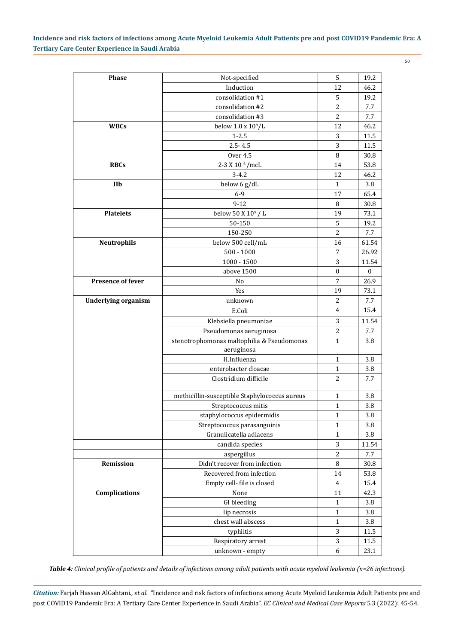50

| <b>Phase</b>               | Not-specified                                 | 5              | 19.2         |
|----------------------------|-----------------------------------------------|----------------|--------------|
|                            | Induction                                     | 12             | 46.2         |
|                            | consolidation #1                              | 5              | 19.2         |
|                            | consolidation #2                              | $\overline{2}$ | 7.7          |
|                            | consolidation #3                              | $\overline{2}$ | 7.7          |
| <b>WBCs</b>                | below $1.0 \times 10^9/L$                     | 12             | 46.2         |
|                            | $1 - 2.5$                                     | 3              | 11.5         |
|                            | $2.5 - 4.5$                                   | 3              | 11.5         |
|                            | <b>Over 4.5</b>                               | 8              | 30.8         |
| <b>RBCs</b>                | 2-3 X 10 <sup>6</sup> /mcL                    | 14             | 53.8         |
|                            | $3 - 4.2$                                     | 12             | 46.2         |
| Hb                         | below 6 g/dL                                  | 1              | 3.8          |
|                            | $6 - 9$                                       | 17             | 65.4         |
|                            | $9 - 12$                                      | 8              | 30.8         |
| <b>Platelets</b>           | below 50 X 10 <sup>9</sup> / L                | 19             | 73.1         |
|                            | 50-150                                        | 5              | 19.2         |
|                            | 150-250                                       | $\overline{2}$ | 7.7          |
| <b>Neutrophils</b>         | below 500 cell/mL                             | 16             | 61.54        |
|                            | $500 - 1000$                                  | 7              | 26.92        |
|                            | $1000 - 1500$                                 | 3              | 11.54        |
|                            | above 1500                                    | $\theta$       | $\mathbf{0}$ |
| <b>Presence of fever</b>   | No                                            | $\overline{7}$ | 26.9         |
|                            | Yes                                           | 19             | 73.1         |
| <b>Underlying organism</b> | unknown                                       | $\overline{2}$ | 7.7          |
|                            | E.Coli                                        | 4              | 15.4         |
|                            | Klebsiella pneumoniae                         | 3              | 11.54        |
|                            | Pseudomonas aeruginosa                        | $\overline{2}$ | 7.7          |
|                            | stenotrophomonas maltophilia & Pseudomonas    | $\mathbf{1}$   | 3.8          |
|                            | aeruginosa                                    |                |              |
|                            | H.Influenza                                   | 1              | 3.8          |
|                            | enterobacter cloacae                          | $\mathbf{1}$   | 3.8          |
|                            | Clostridium difficile                         | $\overline{2}$ | 7.7          |
|                            |                                               |                |              |
|                            | methicillin-susceptible Staphylococcus aureus | $\mathbf{1}$   | 3.8          |
|                            | Streptococcus mitis                           | $\mathbf 1$    | 3.8          |
|                            | staphylococcus epidermidis                    | $\mathbf{1}$   | 3.8          |
|                            | Streptococcus parasanguinis                   | $\mathbf{1}$   | 3.8          |
|                            | Granulicatella adiacens                       | $\mathbf{1}$   | 3.8          |
|                            | candida species                               | 3              | 11.54        |
|                            | aspergillus                                   | $\overline{2}$ | 7.7          |
| Remission                  | Didn't recover from infection                 | $\, 8$         | 30.8         |
|                            | Recovered from infection                      | 14             | 53.8         |
|                            | Empty cell- file is closed                    | $\overline{4}$ | 15.4         |
| Complications              | None                                          | 11             | 42.3         |
|                            | GI bleeding                                   | $\mathbf{1}$   | 3.8          |
|                            | lip necrosis                                  | 1              | 3.8          |
|                            | chest wall abscess                            | 1              | 3.8          |
|                            | typhlitis                                     | 3              | 11.5         |
|                            | Respiratory arrest                            | 3              | 11.5         |
|                            | unknown - empty                               | 6              | 23.1         |
|                            |                                               |                |              |

*Table 4: Clinical profile of patients and details of infections among adult patients with acute myeloid leukemia (n=26 infections).*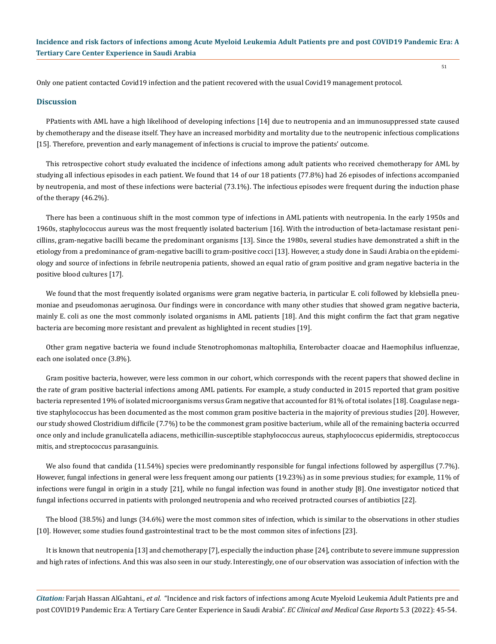Only one patient contacted Covid19 infection and the patient recovered with the usual Covid19 management protocol.

#### **Discussion**

PPatients with AML have a high likelihood of developing infections [14] due to neutropenia and an immunosuppressed state caused by chemotherapy and the disease itself. They have an increased morbidity and mortality due to the neutropenic infectious complications [15]. Therefore, prevention and early management of infections is crucial to improve the patients' outcome.

This retrospective cohort study evaluated the incidence of infections among adult patients who received chemotherapy for AML by studying all infectious episodes in each patient. We found that 14 of our 18 patients (77.8%) had 26 episodes of infections accompanied by neutropenia, and most of these infections were bacterial (73.1%). The infectious episodes were frequent during the induction phase of the therapy (46.2%).

There has been a continuous shift in the most common type of infections in AML patients with neutropenia. In the early 1950s and 1960s, staphylococcus aureus was the most frequently isolated bacterium [16]. With the introduction of beta-lactamase resistant penicillins, gram-negative bacilli became the predominant organisms [13]. Since the 1980s, several studies have demonstrated a shift in the etiology from a predominance of gram-negative bacilli to gram-positive cocci [13]. However, a study done in Saudi Arabia on the epidemiology and source of infections in febrile neutropenia patients, showed an equal ratio of gram positive and gram negative bacteria in the positive blood cultures [17].

We found that the most frequently isolated organisms were gram negative bacteria, in particular E. coli followed by klebsiella pneumoniae and pseudomonas aeruginosa. Our findings were in concordance with many other studies that showed gram negative bacteria, mainly E. coli as one the most commonly isolated organisms in AML patients [18]. And this might confirm the fact that gram negative bacteria are becoming more resistant and prevalent as highlighted in recent studies [19].

Other gram negative bacteria we found include Stenotrophomonas maltophilia, Enterobacter cloacae and Haemophilus influenzae, each one isolated once (3.8%).

Gram positive bacteria, however, were less common in our cohort, which corresponds with the recent papers that showed decline in the rate of gram positive bacterial infections among AML patients. For example, a study conducted in 2015 reported that gram positive bacteria represented 19% of isolated microorganisms versus Gram negative that accounted for 81% of total isolates [18]. Coagulase negative staphylococcus has been documented as the most common gram positive bacteria in the majority of previous studies [20]. However, our study showed Clostridium difficile (7.7%) to be the commonest gram positive bacterium, while all of the remaining bacteria occurred once only and include granulicatella adiacens, methicillin-susceptible staphylococcus aureus, staphylococcus epidermidis, streptococcus mitis, and streptococcus parasanguinis.

We also found that candida (11.54%) species were predominantly responsible for fungal infections followed by aspergillus (7.7%). However, fungal infections in general were less frequent among our patients (19.23%) as in some previous studies; for example, 11% of infections were fungal in origin in a study [21], while no fungal infection was found in another study [8]. One investigator noticed that fungal infections occurred in patients with prolonged neutropenia and who received protracted courses of antibiotics [22].

The blood (38.5%) and lungs (34.6%) were the most common sites of infection, which is similar to the observations in other studies [10]. However, some studies found gastrointestinal tract to be the most common sites of infections [23].

It is known that neutropenia [13] and chemotherapy [7], especially the induction phase [24], contribute to severe immune suppression and high rates of infections. And this was also seen in our study. Interestingly, one of our observation was association of infection with the

*Citation:* Farjah Hassan AlGahtani*., et al.* "Incidence and risk factors of infections among Acute Myeloid Leukemia Adult Patients pre and post COVID19 Pandemic Era: A Tertiary Care Center Experience in Saudi Arabia". *EC Clinical and Medical Case Reports* 5.3 (2022): 45-54.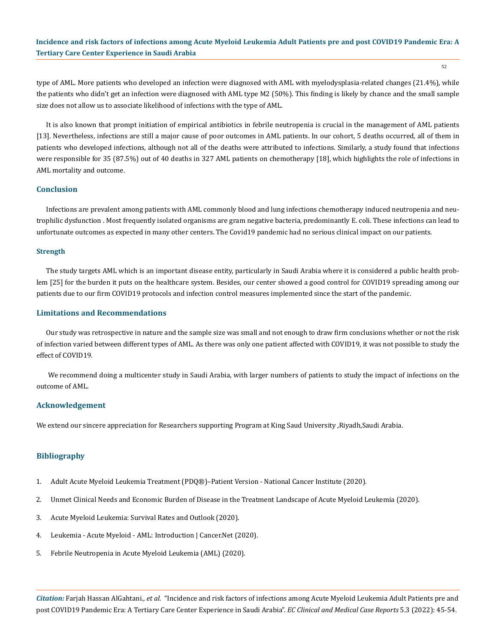52

type of AML. More patients who developed an infection were diagnosed with AML with myelodysplasia-related changes (21.4%), while the patients who didn't get an infection were diagnosed with AML type M2 (50%). This finding is likely by chance and the small sample size does not allow us to associate likelihood of infections with the type of AML.

It is also known that prompt initiation of empirical antibiotics in febrile neutropenia is crucial in the management of AML patients [13]. Nevertheless, infections are still a major cause of poor outcomes in AML patients. In our cohort, 5 deaths occurred, all of them in patients who developed infections, although not all of the deaths were attributed to infections. Similarly, a study found that infections were responsible for 35 (87.5%) out of 40 deaths in 327 AML patients on chemotherapy [18], which highlights the role of infections in AML mortality and outcome.

## **Conclusion**

Infections are prevalent among patients with AML commonly blood and lung infections chemotherapy induced neutropenia and neutrophilic dysfunction . Most frequently isolated organisms are gram negative bacteria, predominantly E. coli. These infections can lead to unfortunate outcomes as expected in many other centers. The Covid19 pandemic had no serious clinical impact on our patients.

#### **Strength**

The study targets AML which is an important disease entity, particularly in Saudi Arabia where it is considered a public health problem [25] for the burden it puts on the healthcare system. Besides, our center showed a good control for COVID19 spreading among our patients due to our firm COVID19 protocols and infection control measures implemented since the start of the pandemic.

#### **Limitations and Recommendations**

Our study was retrospective in nature and the sample size was small and not enough to draw firm conclusions whether or not the risk of infection varied between different types of AML. As there was only one patient affected with COVID19, it was not possible to study the effect of COVID19.

 We recommend doing a multicenter study in Saudi Arabia, with larger numbers of patients to study the impact of infections on the outcome of AML.

#### **Acknowledgement**

We extend our sincere appreciation for Researchers supporting Program at King Saud University ,Riyadh,Saudi Arabia.

## **Bibliography**

- 1. [Adult Acute Myeloid Leukemia Treatment \(PDQ®\)–Patient Version National Cancer Institute \(2020\).](https://www.cancer.gov/types/leukemia/patient/adult-aml-treatment-pdq)
- 2. [Unmet Clinical Needs and Economic Burden of Disease in the Treatment Landscape of Acute Myeloid Leukemia \(2020\).](https://pubmed.ncbi.nlm.nih.gov/30132678/)
- 3. Acute Myeloid Leukemia: Survival Rates and Outlook (2020).
- 4. [Leukemia Acute Myeloid AML: Introduction | Cancer.Net \(2020\).](https://www.cancer.net/cancer-types/leukemia-acute-myeloid-aml/introduction)
- 5. [Febrile Neutropenia in Acute Myeloid Leukemia \(AML\) \(2020\).](https://www.ncbi.nlm.nih.gov/pmc/articles/PMC6951355/)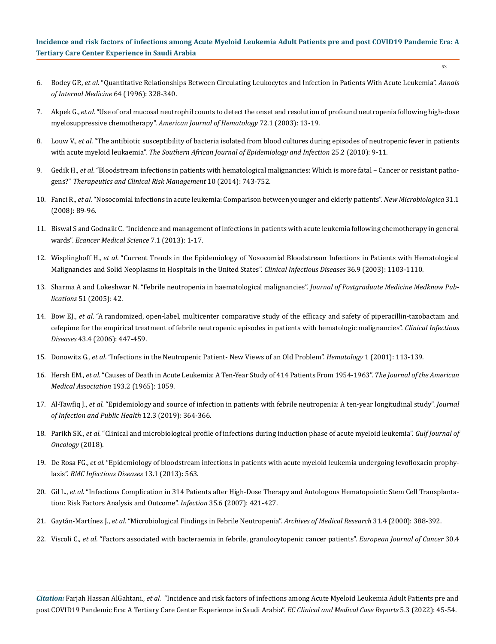- 6. Bodey GP., *et al*[. "Quantitative Relationships Between Circulating Leukocytes and Infection in Patients With Acute Leukemia".](https://pubmed.ncbi.nlm.nih.gov/5216294/) *Annals [of Internal Medicine](https://pubmed.ncbi.nlm.nih.gov/5216294/)* 64 (1996): 328-340.
- 7. Akpek G., *et al*[. "Use of oral mucosal neutrophil counts to detect the onset and resolution of profound neutropenia following high-dose](https://pubmed.ncbi.nlm.nih.gov/12508262/)  myelosuppressive chemotherapy". *[American Journal of Hematology](https://pubmed.ncbi.nlm.nih.gov/12508262/)* 72.1 (2003): 13-19.
- 8. Louw V., *et al*[. "The antibiotic susceptibility of bacteria isolated from blood cultures during episodes of neutropenic fever in patients](https://www.researchgate.net/publication/254053358_The_antibiotic_susceptibility_of_bacteria_isolated_from_blood_cultures_during_episodes_of_neutropenic_fever_in_patients_with_acute_myeloid_leukaemia)  with acute myeloid leukaemia". *[The Southern African Journal of Epidemiology and Infection](https://www.researchgate.net/publication/254053358_The_antibiotic_susceptibility_of_bacteria_isolated_from_blood_cultures_during_episodes_of_neutropenic_fever_in_patients_with_acute_myeloid_leukaemia)* 25.2 (2010): 9-11.
- 9. Gedik H., *et al*[. "Bloodstream infections in patients with hematological malignancies: Which is more fatal Cancer or resistant patho](https://www.ncbi.nlm.nih.gov/pmc/articles/PMC4172031/)gens?" *[Therapeutics and Clinical Risk Management](https://www.ncbi.nlm.nih.gov/pmc/articles/PMC4172031/)* 10 (2014): 743-752.
- 10. Fanci R., *et al*[. "Nosocomial infections in acute leukemia: Comparison between younger and elderly patients".](https://pubmed.ncbi.nlm.nih.gov/18437846/) *New Microbiologica* 31.1 [\(2008\): 89-96.](https://pubmed.ncbi.nlm.nih.gov/18437846/)
- 11. [Biswal S and Godnaik C. "Incidence and management of infections in patients with acute leukemia following chemotherapy in general](https://www.ncbi.nlm.nih.gov/pmc/articles/PMC3634721/)  wards". *[Ecancer Medical Science](https://www.ncbi.nlm.nih.gov/pmc/articles/PMC3634721/)* 7.1 (2013): 1-17.
- 12. Wisplinghoff H., *et al*[. "Current Trends in the Epidemiology of Nosocomial Bloodstream Infections in Patients with Hematological](https://pubmed.ncbi.nlm.nih.gov/12715303/)  [Malignancies and Solid Neoplasms in Hospitals in the United States".](https://pubmed.ncbi.nlm.nih.gov/12715303/) *Clinical Infectious Diseases* 36.9 (2003): 1103-1110.
- 13. [Sharma A and Lokeshwar N. "Febrile neutropenia in haematological malignancies".](https://pubmed.ncbi.nlm.nih.gov/16519255/) *Journal of Postgraduate Medicine Medknow Publications* [51 \(2005\): 42.](https://pubmed.ncbi.nlm.nih.gov/16519255/)
- 14. Bow EJ., *et al*[. "A randomized, open-label, multicenter comparative study of the efficacy and safety of piperacillin-tazobactam and](https://www.semanticscholar.org/paper/A-randomized%2C-open-label%2C-multicenter-comparative-Bow-Rotstein/1b439275f85405e873bed698694ef049aef38cdf)  [cefepime for the empirical treatment of febrile neutropenic episodes in patients with hematologic malignancies".](https://www.semanticscholar.org/paper/A-randomized%2C-open-label%2C-multicenter-comparative-Bow-Rotstein/1b439275f85405e873bed698694ef049aef38cdf) *Clinical Infectious Diseases* [43.4 \(2006\): 447-459.](https://www.semanticscholar.org/paper/A-randomized%2C-open-label%2C-multicenter-comparative-Bow-Rotstein/1b439275f85405e873bed698694ef049aef38cdf)
- 15. Donowitz G., *et al*[. "Infections in the Neutropenic Patient- New Views of an Old Problem".](https://pubmed.ncbi.nlm.nih.gov/11722981/) *Hematology* 1 (2001): 113-139.
- 16. Hersh EM., *et al*[. "Causes of Death in Acute Leukemia: A Ten-Year Study of 414 Patients From 1954-1963".](https://pubmed.ncbi.nlm.nih.gov/14304351/) *The Journal of the American [Medical Association](https://pubmed.ncbi.nlm.nih.gov/14304351/)* 193.2 (1965): 1059.
- 17. Al-Tawfiq J., *et al*[. "Epidemiology and source of infection in patients with febrile neutropenia: A ten-year longitudinal study".](https://www.researchgate.net/publication/329929889_Epidemiology_and_source_of_infection_in_patients_with_febrile_neutropenia_A_ten-year_longitudinal_study) *Journal [of Infection and Public Health](https://www.researchgate.net/publication/329929889_Epidemiology_and_source_of_infection_in_patients_with_febrile_neutropenia_A_ten-year_longitudinal_study)* 12.3 (2019): 364-366.
- 18. Parikh SK., *et al*[. "Clinical and microbiological profile of infections during induction phase of acute myeloid leukemia".](https://pubmed.ncbi.nlm.nih.gov/30145547/) *Gulf Journal of [Oncology](https://pubmed.ncbi.nlm.nih.gov/30145547/)* (2018).
- 19. De Rosa FG., *et al*[. "Epidemiology of bloodstream infections in patients with acute myeloid leukemia undergoing levofloxacin prophy](https://pubmed.ncbi.nlm.nih.gov/24289496/)laxis". *[BMC Infectious Diseases](https://pubmed.ncbi.nlm.nih.gov/24289496/)* 13.1 (2013): 563.
- 20. Gil L., *et al*[. "Infectious Complication in 314 Patients after High-Dose Therapy and Autologous Hematopoietic Stem Cell Transplanta](https://pubmed.ncbi.nlm.nih.gov/17926001/)[tion: Risk Factors Analysis and Outcome".](https://pubmed.ncbi.nlm.nih.gov/17926001/) *Infection* 35.6 (2007): 421-427.
- 21. Gaytán-Martı́nez J., *et al*[. "Microbiological Findings in Febrile Neutropenia".](https://pubmed.ncbi.nlm.nih.gov/11068081/) *Archives of Medical Research* 31.4 (2000): 388-392.
- 22. Viscoli C., *et al*[. "Factors associated with bacteraemia in febrile, granulocytopenic cancer patients".](https://pubmed.ncbi.nlm.nih.gov/8018397/) *European Journal of Cancer* 30.4

*Citation:* Farjah Hassan AlGahtani*., et al.* "Incidence and risk factors of infections among Acute Myeloid Leukemia Adult Patients pre and post COVID19 Pandemic Era: A Tertiary Care Center Experience in Saudi Arabia". *EC Clinical and Medical Case Reports* 5.3 (2022): 45-54.